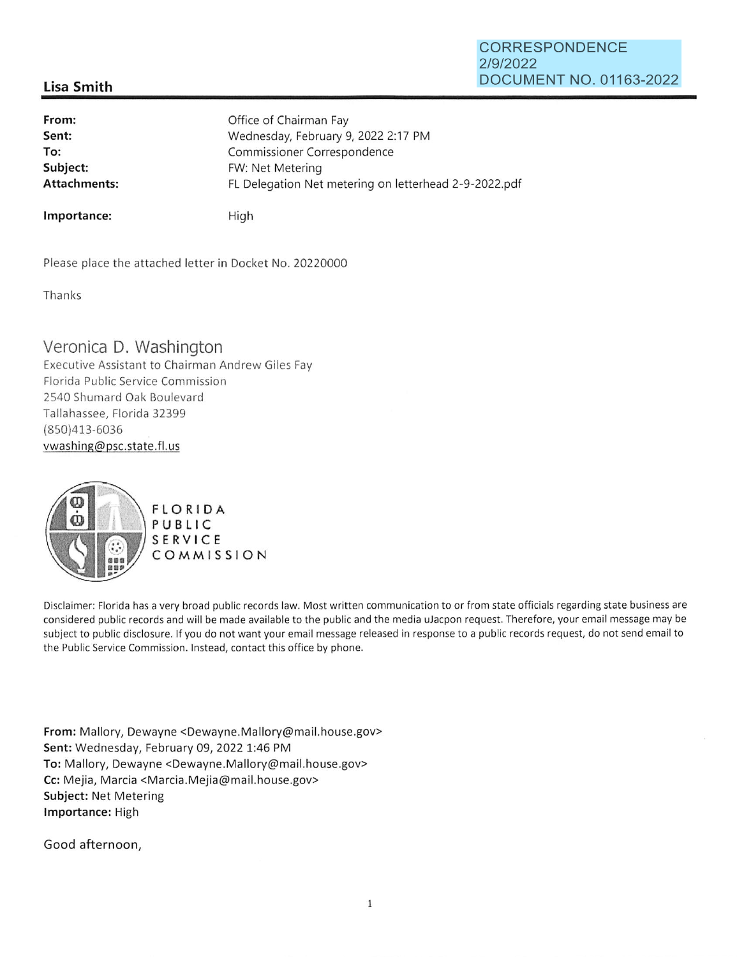### **CORRESPONDENCE 2/9/2022 DOCUMENT NO. 01163-2022**

## **Lisa Smith**

**From: Sent: To: Subject:**  Office of Chairman Fay Wednesday, February 9, 2022 2:17 PM Commissioner Correspondence FW: Net Metering **Attachments:** FL Delegation Net metering on letterhead 2-9-2022.pdf

**Importance:** High

Please place the attached letter in Docket No. 20220000

Thanks

# Veronica D. Washington

Executive Assistant to Chairman Andrew Giles Fay Florida Public Service Commission 2540 Shumard Oak Boulevard Tallahassee, Florida 32399 (850)413-6036 vwashing@psc.state.fl.us



Disclaimer: Florida has a very broad public records law. Most written communication to or from state officials regarding state business are considered public records and will be made available to the public and the media uJacpon request. Therefore, your email message may be subject to public disclosure. If you do not want your email message released in response to a public records request, do not send email to the Public Service Commission. Instead, contact this office by phone.

**From:** Mallory, Dewayne <Dewayne.Mallory@mail.house.gov> **Sent:** Wednesday, February 09, 2022 1:46 PM To: Mallory, Dewayne <Dewayne.Mallory@mail.house.gov> Cc: Mejia, Marcia <Marcia.Mejia@mail.house.gov> **Subject:** Net Metering **Importance:** High

Good afternoon,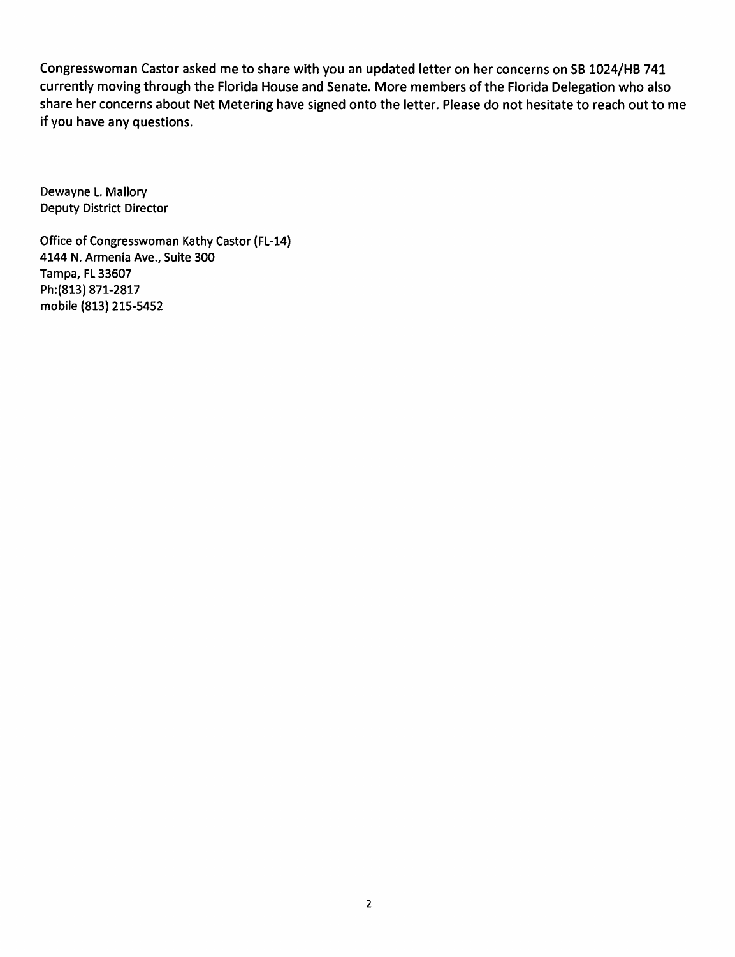Congresswoman Castor asked me to share with you an updated letter on her concerns on SB 1024/HB 741 currently moving through the Florida House and Senate. More members of the Florida Delegation who also share her concerns about Net Metering have signed onto the letter. Please do not hesitate to reach out to me if you have any questions.

Dewayne L. Mallory Deputy District Director

Office of Congresswoman Kathy Castor (FL-14) 4144 N. Armenia Ave., Suite 300 Tampa, FL 33607 Ph:(813) 871-2817 mobile (813) 215-5452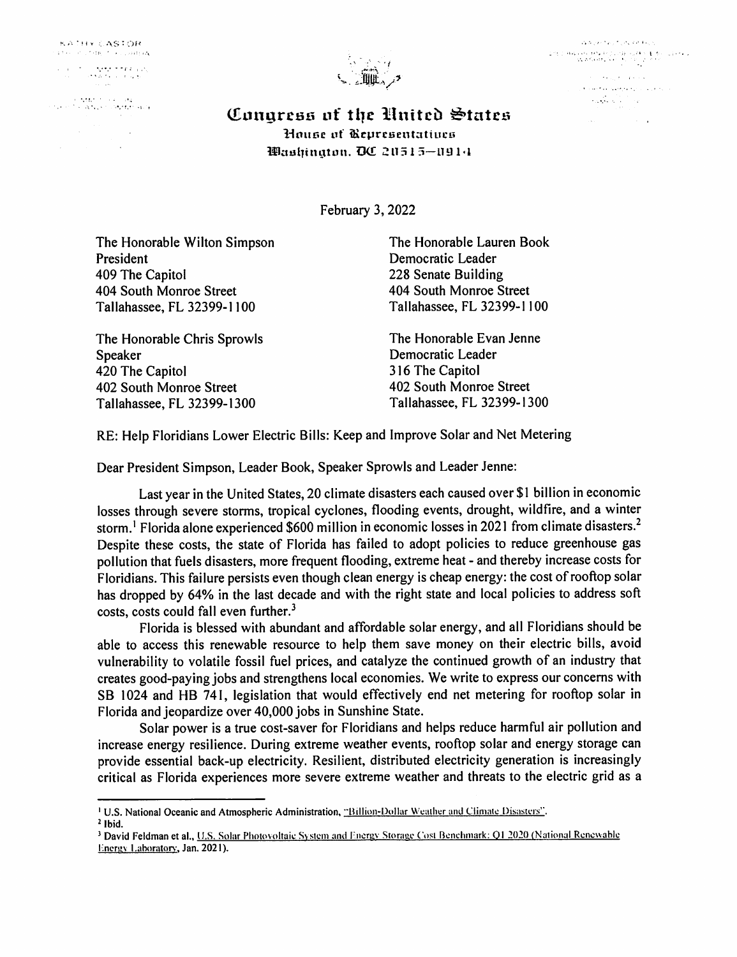**KATHY CASTOR** 

• .. • •.• • • r; I •

''~ • I • ' 1 jll • ' f, t • ' \ <sup>f</sup> 



 $\mathcal{L}^{\mathcal{L}}(\mathcal{L}^{\mathcal{L}}(\mathcal{L}^{\mathcal{L}}(\mathcal{L}^{\mathcal{L}}(\mathcal{L}^{\mathcal{L}}(\mathcal{L}^{\mathcal{L}}(\mathcal{L}^{\mathcal{L}}(\mathcal{L}^{\mathcal{L}}(\mathcal{L}^{\mathcal{L}}(\mathcal{L}^{\mathcal{L}}(\mathcal{L}^{\mathcal{L}}))))$ research and the second contract of the second contract of the second contract of the second contract of the s<br>- المرحل المرحلة المرحلة المرحلة المرحلة المرحلة المرحلة المرحلة المرحلة المرحلة المرحلة المرحلة المرحلة المرح **Controller State State** .. · .... ·•·.·.  $\label{eq:2} \mathcal{L} = \mathcal{L} \left( \mathcal{L} \right) \left( \mathcal{L} \right) \left( \mathcal{L} \right) \left( \mathcal{L} \right) \left( \mathcal{L} \right)$  $\label{eq:1} \mathcal{L}_{\text{A}}(\mathbf{x}) = \mathcal{L}_{\text{A}}(\mathbf{x}) + \mathcal{L}_{\text{A}}(\mathbf{x})$ 

**Congress of the United States 1-toune uf iRrprcsentattucu maul1i111:\_1ton. 00 Z!l15 l 5-l19 l•J** 

February 3, 2022

The Honorable Wilton Simpson President 409 The Capitol 404 South Monroe Street Tallahassee, FL 32399-1100

The Honorable Chris Sprowls Speaker 420 The Capitol 402 South Monroe Street Tallahassee, FL 32399-1300

The Honorable Lauren Book Democratic Leader 228 Senate Building 404 South Monroe Street Tallahassee, FL 32399-1 I 00

The Honorable Evan Jenne Democratic Leader 316 The Capitol 402 South Monroe Street Tallahassee, FL 32399-1300

RE: Help Floridians Lower Electric Bills: Keep and Improve Solar and Net Metering

Dear President Simpson, Leader Book, Speaker Sprowls and Leader Jenne:

Last year in the United States, 20 climate disasters each caused over \$1 billion in economic losses through severe storms, tropical cyclones, flooding events, drought, wildfire, and a winter storm.<sup>1</sup> Florida alone experienced \$600 million in economic losses in 2021 from climate disasters.<sup>2</sup> Despite these costs, the state of Florida has failed to adopt policies to reduce greenhouse gas pollution that fuels disasters, more frequent flooding, extreme heat - and thereby increase costs for Floridians. This failure persists even though clean energy is cheap energy: the cost of rooftop solar has dropped by 64% in the last decade and with the right state and local policies to address soft costs, costs could fall even further.<sup>3</sup>

Florida is blessed with abundant and affordable solar energy, and all Floridians should be able to access this renewable resource to help them save money on their electric bills, avoid vulnerability to volatile fossil fuel prices, and catalyze the continued growth of an industry that creates good-paying jobs and strengthens local economies. We write to express our concerns with SB 1024 and HB 741, legislation that would effectively end net metering for rooftop solar in Florida and jeopardize over 40,000 jobs in Sunshine State.

Solar power is a true cost-saver for Floridians and helps reduce harmful air pollution and increase energy resilience. During extreme weather events, rooftop solar and energy storage can provide essential back-up electricity. Resilient, distributed electricity generation is increasingly critical as Florida experiences more severe extreme weather and threats to the electric grid as a

<sup>&</sup>lt;sup>1</sup> U.S. National Oceanic and Atmospheric Administration, "Billion-Dollar Weather and Climate Disasters".

<sup>2</sup>**Ibid.** 

<sup>&</sup>lt;sup>3</sup> David Feldman et al., U.S. Solar Photovoltaic System and Energy Storage Cost Benchmark: Q1 2020 (National Renewable Energy Laboratory, Jan. 2021).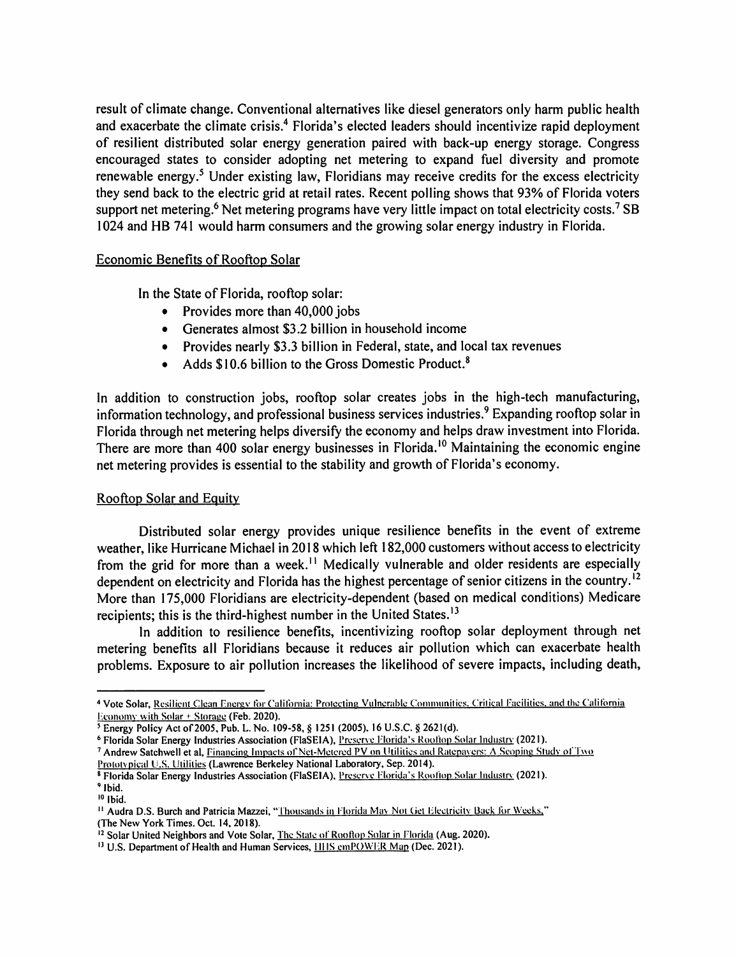result of climate change. Conventional alternatives like diesel generators only harm public health and exacerbate the climate crisis.<sup>4</sup> Florida's elected leaders should incentivize rapid deployment of resilient distributed solar energy generation paired with back-up energy storage. Congress encouraged states to consider adopting net metering to expand fuel diversity and promote renewable energy.<sup>5</sup> Under existing law, Floridians may receive credits for the excess electricity they send back to the electric grid at retail rates. Recent polling shows that 93% of Florida voters support net metering.<sup>6</sup> Net metering programs have very little impact on total electricity costs.<sup>7</sup> SB I 024 and HB 741 would harm consumers and the growing solar energy industry in Florida.

### Economic Benefits of Rooftop Solar

In the State of Florida, rooftop solar:

- Provides more than 40,000 jobs
- Generates almost \$3.2 billion in household income
- Provides nearly \$3.3 billion in Federal, state, and local tax revenues
- Adds  $$10.6$  billion to the Gross Domestic Product.<sup>8</sup>

In addition to construction jobs, rooftop solar creates jobs in the high-tech manufacturing, information technology, and professional business services industries.<sup>9</sup> Expanding rooftop solar in Florida through net metering helps diversify the economy and helps draw investment into Florida. There are more than 400 solar energy businesses in Florida.<sup>10</sup> Maintaining the economic engine net metering provides is essential to the stability and growth of Florida's economy.

### Rooftop Solar and Equity

Distributed solar energy provides unique resilience benefits in the event of extreme weather, like Hurricane Michael in 2018 which left 182,000 customers without access to electricity from the grid for more than a week.<sup> $11$ </sup> Medically vulnerable and older residents are especially dependent on electricity and Florida has the highest percentage of senior citizens in the country.<sup>12</sup> More than 175,000 Floridians are electricity-dependent (based on medical conditions) Medicare recipients; this is the third-highest number in the United States.<sup>13</sup>

In addition to resilience benefits, incentivizing rooftop solar deployment through net metering benefits all Floridians because it reduces air pollution which can exacerbate health problems. Exposure to air pollution increases the likelihood of severe impacts, including death,

<sup>&</sup>lt;sup>4</sup> Vote Solar, Resilient Clean Energy for California: Protecting Vulnerable Communities, Critical Facilities, and the California 1-:conomv with Solar + Storage **(Feb. 2020).** 

s Energy Policy Act of 2005, Pub. L. No. 109-58, § 1251 (2005). 16 U.S.C. § 2621(d).

<sup>&</sup>lt;sup>6</sup> Florida Solar Energy Industries Association (FlaSEIA), Preserve Florida's Rootion Solar Industry (2021).

<sup>&</sup>lt;sup>7</sup> Andrew Satchwell et al, Financing Impacts of Net-Metered PV on Utilities and Ratepavers: A Scoping Study of Two

Prototypical U.S. Utilities (Lawrence Berkeley National Laboratory, Sep. 2014).

<sup>&</sup>lt;sup>8</sup> Florida Solar Energy Industries Association (FlaSEIA), Preserve Florida's Roottop Solar Industry (2021). <sup>9</sup>**Ibid.** 

 $10$  Ibid.

<sup>&</sup>lt;sup>11</sup> Audra D.S. Burch and Patricia Mazzei, "Thousands in Florida May Not Get Electricity Back for Weeks," (The New York Times. Oct. 14, 2018).

<sup>&</sup>lt;sup>12</sup> Solar United Neighbors and Vote Solar, The State of Rooftop Solar in Florida (Aug. 2020).

<sup>&</sup>lt;sup>13</sup> U.S. Department of Health and Human Services, HHS cmPOWER Map (Dec. 2021).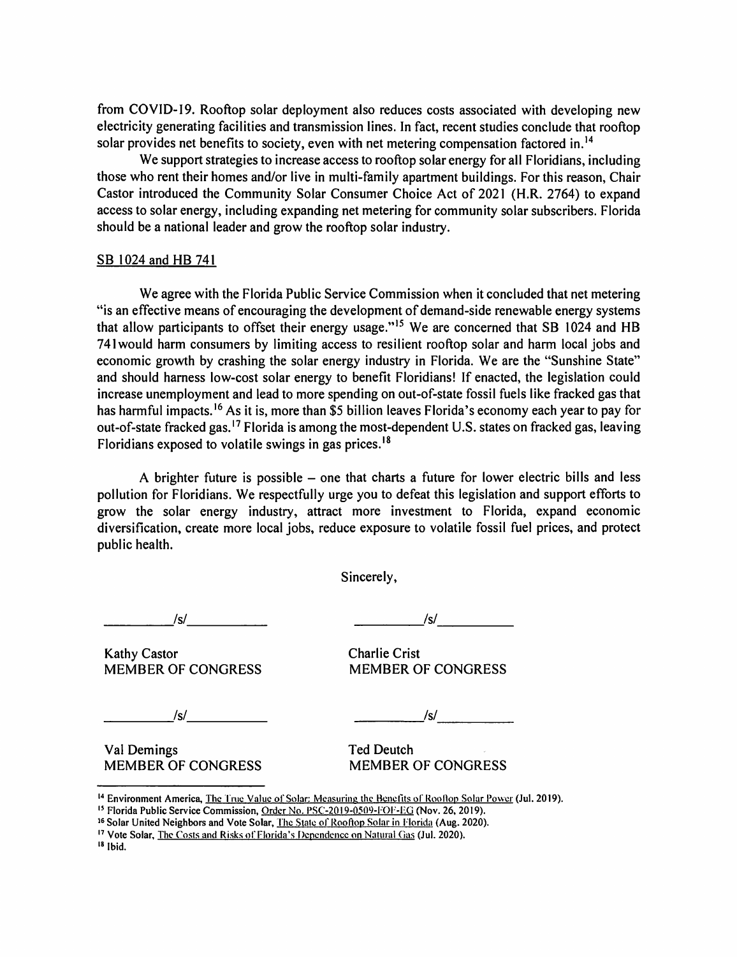from COVID-I9. Rooftop solar deployment also reduces costs associated with developing new electricity generating facilities and transmission lines. In fact, recent studies conclude that rooftop solar provides net benefits to society, even with net metering compensation factored in.<sup>14</sup>

We support strategies to increase access to rooftop solar energy for all Floridians, including those who rent their homes and/or live in multi-family apartment buildings. For this reason, Chair Castor introduced the Community Solar Consumer Choice Act of 2021 (H.R. 2764) to expand access to solar energy, including expanding net metering for community solar subscribers. Florida should be a national leader and grow the rooftop solar industry.

#### SB 1024 and HB 741

We agree with the Florida Public Service Commission when it concluded that net metering 4 'is an effective means of encouraging the development of demand-side renewable energy systems that allow participants to offset their energy usage."<sup>15</sup> We are concerned that SB 1024 and HB 741 would harm consumers by limiting access to resilient rooftop solar and harm local jobs and economic growth by crashing the solar energy industry in Florida. We are the "Sunshine State" and should harness low-cost solar energy to benefit Floridians! If enacted, the legislation could increase unemployment and lead to more spending on out-of-state fossil fuels like fracked gas that has harmful impacts.<sup>16</sup> As it is, more than \$5 billion leaves Florida's economy each year to pay for out-of-state fracked gas.<sup>17</sup> Florida is among the most-dependent U.S. states on fracked gas, leaving Floridians exposed to volatile swings in gas prices. <sup>18</sup>

A brighter future is possible – one that charts a future for lower electric bills and less pollution for Floridians. We respectfully urge you to defeat this legislation and support efforts to grow the solar energy industry, attract more investment to Florida, expand economic diversification, create more local jobs, reduce exposure to volatile fossil fuel prices, and protect public health.

Sincerely,

*Isl* ----- ------ *\_\_\_\_ --Isl \_\_\_\_ \_* 

Kathy Castor **Charlie Crist** MEMBER OF CONGRESS MEMBER OF CONGRESS

*\_\_\_\_\_ Isl \_\_\_\_ \_ \_ \_\_\_\_\_ Isl \_\_\_\_ \_* 

Val Demings Ted Deutch MEMBER OF CONGRESS MEMBER OF CONGRESS

<sup>&</sup>lt;sup>14</sup> Environment America, The True Value of Solar: Measuring the Benefits of Rooflop Solar Power (Jul. 2019).<br><sup>15</sup> Florida Public Service Commission, <u>Order No. PSC-2019-0509-FOF-EG</u> (Nov. 26, 2019).<br><sup>16</sup> Solar United Neig

<sup>&</sup>lt;sup>17</sup> Vote Solar, The Costs and Risks of Florida's Dependence on Natural Gas (Jul. 2020).

<sup>18</sup> Ibid.